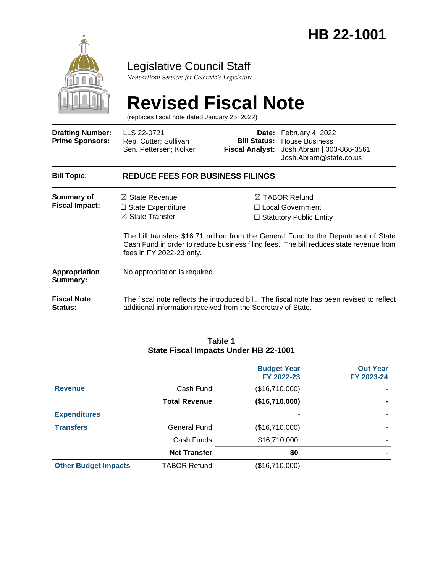

### Legislative Council Staff

*Nonpartisan Services for Colorado's Legislature*

# **Revised Fiscal Note**

(replaces fiscal note dated January 25, 2022)

| <b>Drafting Number:</b><br><b>Prime Sponsors:</b> | LLS 22-0721<br>Rep. Cutter; Sullivan<br>Sen. Pettersen; Kolker                                                  |  | <b>Date:</b> February 4, 2022<br><b>Bill Status: House Business</b><br>Fiscal Analyst: Josh Abram   303-866-3561<br>Josh.Abram@state.co.us                                                                                                                   |  |
|---------------------------------------------------|-----------------------------------------------------------------------------------------------------------------|--|--------------------------------------------------------------------------------------------------------------------------------------------------------------------------------------------------------------------------------------------------------------|--|
| <b>Bill Topic:</b>                                | <b>REDUCE FEES FOR BUSINESS FILINGS</b>                                                                         |  |                                                                                                                                                                                                                                                              |  |
| <b>Summary of</b><br><b>Fiscal Impact:</b>        | $\boxtimes$ State Revenue<br>$\Box$ State Expenditure<br>$\boxtimes$ State Transfer<br>fees in FY 2022-23 only. |  | ⊠ TABOR Refund<br>$\Box$ Local Government<br>$\Box$ Statutory Public Entity<br>The bill transfers \$16.71 million from the General Fund to the Department of State<br>Cash Fund in order to reduce business filing fees. The bill reduces state revenue from |  |
| <b>Appropriation</b><br>Summary:                  | No appropriation is required.                                                                                   |  |                                                                                                                                                                                                                                                              |  |
| <b>Fiscal Note</b><br><b>Status:</b>              | additional information received from the Secretary of State.                                                    |  | The fiscal note reflects the introduced bill. The fiscal note has been revised to reflect                                                                                                                                                                    |  |

#### **Table 1 State Fiscal Impacts Under HB 22-1001**

|                             |                      | <b>Budget Year</b><br>FY 2022-23 | <b>Out Year</b><br>FY 2023-24 |
|-----------------------------|----------------------|----------------------------------|-------------------------------|
| <b>Revenue</b>              | Cash Fund            | (\$16,710,000)                   |                               |
|                             | <b>Total Revenue</b> | (\$16,710,000)                   |                               |
| <b>Expenditures</b>         |                      |                                  |                               |
| <b>Transfers</b>            | General Fund         | (\$16,710,000)                   |                               |
|                             | Cash Funds           | \$16,710,000                     |                               |
|                             | <b>Net Transfer</b>  | \$0                              |                               |
| <b>Other Budget Impacts</b> | <b>TABOR Refund</b>  | (\$16,710,000)                   |                               |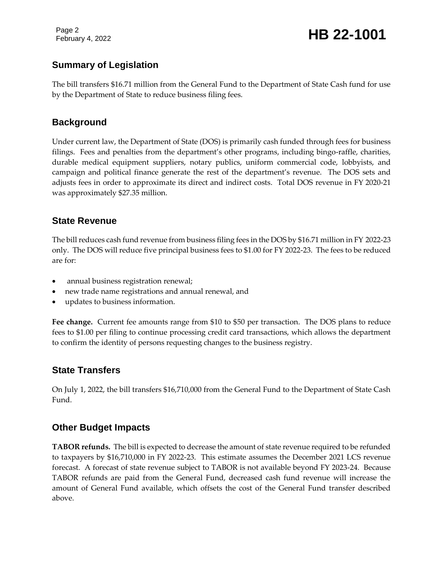Page 2

## February 4, 2022 **HB 22-1001**

#### **Summary of Legislation**

The bill transfers \$16.71 million from the General Fund to the Department of State Cash fund for use by the Department of State to reduce business filing fees.

#### **Background**

Under current law, the Department of State (DOS) is primarily cash funded through fees for business filings. Fees and penalties from the department's other programs, including bingo-raffle, charities, durable medical equipment suppliers, notary publics, uniform commercial code, lobbyists, and campaign and political finance generate the rest of the department's revenue. The DOS sets and adjusts fees in order to approximate its direct and indirect costs. Total DOS revenue in FY 2020-21 was approximately \$27.35 million.

#### **State Revenue**

The bill reduces cash fund revenue from business filing fees in the DOS by \$16.71 million in FY 2022-23 only. The DOS will reduce five principal business fees to \$1.00 for FY 2022-23. The fees to be reduced are for:

- annual business registration renewal;
- new trade name registrations and annual renewal, and
- updates to business information.

**Fee change.** Current fee amounts range from \$10 to \$50 per transaction. The DOS plans to reduce fees to \$1.00 per filing to continue processing credit card transactions, which allows the department to confirm the identity of persons requesting changes to the business registry.

#### **State Transfers**

On July 1, 2022, the bill transfers \$16,710,000 from the General Fund to the Department of State Cash Fund.

#### **Other Budget Impacts**

**TABOR refunds.** The bill is expected to decrease the amount of state revenue required to be refunded to taxpayers by \$16,710,000 in FY 2022-23. This estimate assumes the December 2021 LCS revenue forecast. A forecast of state revenue subject to TABOR is not available beyond FY 2023-24. Because TABOR refunds are paid from the General Fund, decreased cash fund revenue will increase the amount of General Fund available, which offsets the cost of the General Fund transfer described above.